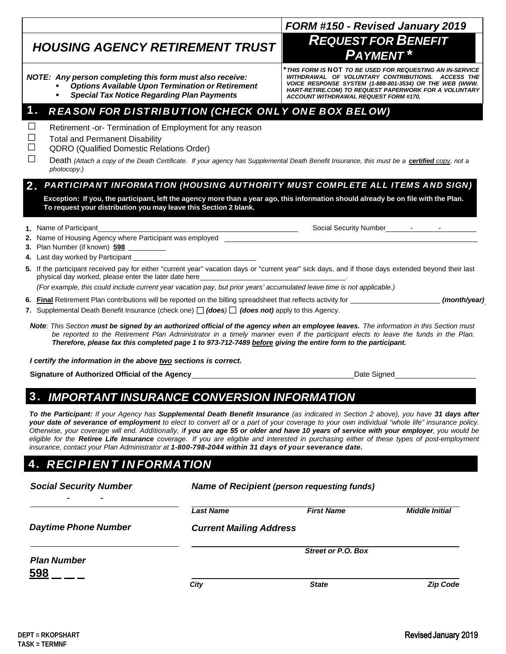| If the participant received pay for either "current year" vacation days or "current year" sick days, and if those days extended beyond their last<br>physical day worked, please enter the later date here                                                                                                                                                                                     |             |
|------------------------------------------------------------------------------------------------------------------------------------------------------------------------------------------------------------------------------------------------------------------------------------------------------------------------------------------------------------------------------------------------|-------------|
| (For example, this could include current year vacation pay, but prior years' accumulated leave time is not applicable.)                                                                                                                                                                                                                                                                        |             |
| . Final Retirement Plan contributions will be reported on the billing spreadsheet that reflects activity for entity<br>Supplemental Death Benefit Insurance (check one) $\Box$ (does) $\Box$ (does not) apply to this Agency.                                                                                                                                                                  | (month/yea  |
| Note: This Section must be signed by an authorized official of the agency when an employee leaves. The information in this Section must<br>be reported to the Retirement Plan Administrator in a timely manner even if the participant elects to leave the funds in the Plan.<br>Therefore, please fax this completed page 1 to 973-712-7489 before giving the entire form to the participant. |             |
| I certify the information in the above two sections is correct.                                                                                                                                                                                                                                                                                                                                |             |
| Signature of Authorized Official of the Agency                                                                                                                                                                                                                                                                                                                                                 | Date Signed |
| 3. IMPORTANT INSURANCE CONVERSION INFORMATION                                                                                                                                                                                                                                                                                                                                                  |             |
| To the Participant: If your Agency has Supplemental Death Benefit Insurance (as indicated in Section 2 above), you have 31 days after                                                                                                                                                                                                                                                          |             |

# *HOUSING AGENCY RETIREMENT TRUST REQUEST FOR BENEFIT*

*NOTE: Any person completing this form must also receive:*

- *Options Available Upon Termination or Retirement*
- *Special Tax Notice Regarding Plan Payments*

# **1. REASON FOR DISTRIBUTION (CHECK ONLY ONE BOX BELOW)**

| $\Box$ | Retirement -or- Termination of Employment for any reason |
|--------|----------------------------------------------------------|

- *□* Total and Permanent Disability
	- *□* QDRO (Qualified Domestic Relations Order)

| photocopy.) | Death (Attach a copy of the Death Certificate. If your agency has Supplemental Death Benefit Insurance, this must be a certified copy, not a |  |
|-------------|----------------------------------------------------------------------------------------------------------------------------------------------|--|
|             |                                                                                                                                              |  |

### 2. *PA RT I CI PA N T I N FORMATI ON (H OU SIN G A U T H ORI T Y M U ST COM PL ET E A L L I T EM S A N D SI GN )*

**Exception: If you, the participant, left the agency more than a year ago, this information should already be on file with the Plan. To request your distribution you may leave this Section 2 blank.**

**1.** Name of Participant Social Security Number Social Security Number Social Security Number Social Security Number

**DEPT = RKOPSHART TASK = TERMNF**

- **2.** Name of Housing Agency where Participant was employed
- **3.** Plan Number (if known) **598**
- **4.** Last day worked by Participant
- **5.** If the participant received pay for either "current year" vacation days or "current year" sick days, and if those days extended beyond their last physical day worked, please enter the later d*a*te here .

insurance, contact your Plan Administrator at 1-800-798-2044 within 31 days of your severance date.

- **6. Final** Retirement Plan contributions will be reported on the billing spreadsheet that reflects activity for **(month/year)**. (month/year) **7.** Supplen
- *Note: This Section must be signed by an authorized official of the agency when an employee leaves. The information in this Section must be reported to the Retirement Plan Administrator in a timely manner even if the participant elects to leave the funds in the Plan.*

*your date of severance of employment to elect to convert all or a part of your coverage to your own individual "whole life" insurance policy. Otherwise, your coverage will end. Additionally, if you are age 55 or older and have 10 years of service with your employer, you would be eligible for the Retiree Life Insurance coverage. If you are eligible and interested in purchasing either of these types of post-employment* 

| <b>4. RECIPIENT INFORMATION</b> |  |
|---------------------------------|--|
|                                 |  |

| <b>Social Security Number</b><br>$\overline{\phantom{0}}$<br>$\blacksquare$ | Name of Recipient (person requesting funds) |                    |                       |
|-----------------------------------------------------------------------------|---------------------------------------------|--------------------|-----------------------|
|                                                                             | <b>Last Name</b>                            | <b>First Name</b>  | <b>Middle Initial</b> |
| <b>Daytime Phone Number</b>                                                 | <b>Current Mailing Address</b>              |                    |                       |
| <b>Plan Number</b><br><u>598</u>                                            |                                             | Street or P.O. Box |                       |
|                                                                             | City                                        | <b>State</b>       | <b>Zip Code</b>       |

*PAYMENT \**

*FORM #150 - Revised January 2019*

*\*THIS FORM IS* NOT *TO BE USED FOR REQUESTING AN IN-SERVICE WITHDRAWAL OF VOLUNTARY CONTRIBUTIONS. ACCESS THE VOICE RESPONSE SYSTEM (1-888-801-3534) OR THE WEB (WWW. HART-RETIRE.COM) TO REQUEST PAPERWORK FOR A VOLUNTARY ACCOUNT WITHDRAWAL REQUEST FORM #170.*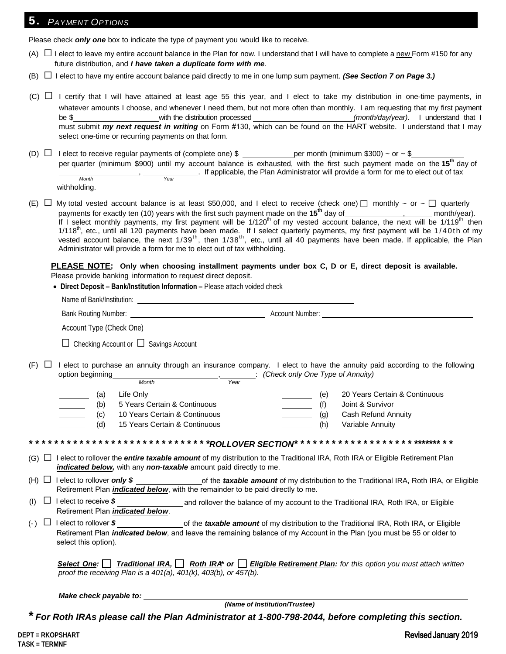### **PAYMENT OPTIONS**

Please check *only one* box to indicate the type of payment you would like to receive.

- (A)  $\Box$  I elect to leave my entire account balance in the Plan for now. I understand that I will have to complete a new Form #150 for any future distribution, and *I have taken a duplicate form with me*.
- $(B)$   $\Box$  I elect to have my entire account balance paid directly to me in one lump sum payment. *(See Section 7 on Page 3.)*
- $(C)$   $\Box$  I certify that I will have attained at least age 55 this year, and I elect to take my distribution in <u>one-time</u> payments, in whatever amounts I choose, and whenever I need them, but not more often than monthly. I am requesting that my first payment be \$ with the distribution processed *(month/day/year)*. I understand that I must submit *my next request in writing* on Form #130, which can be found on the HART website. I understand that I may select one-time or recurring payments on that form.
- (D)  $\Box$  I elect to receive regular payments of (complete one) \$ \_\_\_\_\_\_\_\_\_\_\_\_\_\_ per month (minimum \$300) ~ or ~ \$ per quarter (minimum \$900) until my account balance is exhausted, with the first such payment made on the **15th** day of  $\frac{V_{\text{RAT}}}{V_{\text{RAT}}}$ . If applicable, the Plan Administrator will provide a form for me to elect out of tax *Month* withholding.
- (E) □ My total vested account balance is at least \$50,000, and I elect to receive (check one) □ monthly ~ or ~ □ quarterly payments for exactly ten (10) years with the first such payment made on the **15<sup>th</sup> day of \_\_\_\_\_\_\_\_\_\_\_\_**, \_\_\_\_\_\_\_ month/year). If I select monthly payments, my first payment will be 1/120<sup>th</sup> of my vested account balance, the next will be 1/119<sup>th</sup> then  $1/118<sup>th</sup>$ , etc., until all 120 payments have been made. If I select quarterly payments, my first payment will be  $1/40th$  of my vested account balance, the next  $1/39^{th}$ , then  $1/38^{th}$ , etc., until all 40 payments have been made. If applicable, the Plan Administrator will provide a form for me to elect out of tax withholding.

**PLEASE NOTE: Only when choosing installment payments under box C, D or E, direct deposit is available.**  \_\_\_\_\_\_\_\_\_\_\_ Please provide banking information to request direct deposit.

|     | Name of Bank/Institution: Name of Bank/Institution:                                                                                                                 |                                                                                                                                                                                   |
|-----|---------------------------------------------------------------------------------------------------------------------------------------------------------------------|-----------------------------------------------------------------------------------------------------------------------------------------------------------------------------------|
|     |                                                                                                                                                                     |                                                                                                                                                                                   |
|     | Account Type (Check One)                                                                                                                                            |                                                                                                                                                                                   |
|     | $\Box$ Checking Account or $\Box$ Savings Account                                                                                                                   |                                                                                                                                                                                   |
| (F) | option beginning                                                                                                                                                    | I elect to purchase an annuity through an insurance company. I elect to have the annuity paid according to the following<br>Month Month Strategy (Check only One Type of Annuity) |
|     | Life Only<br>(a)<br><b>Contract Contract</b><br>5 Years Certain & Continuous<br>(b)<br>10 Years Certain & Continuous<br>(c)<br>15 Years Certain & Continuous<br>(d) | 20 Years Certain & Continuous<br>(e)<br>Joint & Survivor<br>(f)<br>Cash Refund Annuity<br>(g)<br>Variable Annuity<br>(h)                                                          |
|     |                                                                                                                                                                     | **************************** <mark>*ROLLOVER SECTION*</mark> ****************************                                                                                         |
|     | indicated below, with any non-taxable amount paid directly to me.                                                                                                   | (G) □ lelect to rollover the <i>entire taxable amount</i> of my distribution to the Traditional IRA, Roth IRA or Eligible Retirement Plan                                         |
|     | Retirement Plan <i>indicated below</i> , with the remainder to be paid directly to me.                                                                              | (H) $\Box$ I elect to rollover <b>only \$</b> ____________________of the <i>taxable amount</i> of my distribution to the Traditional IRA, Roth IRA, or Eligible                   |
|     | Retirement Plan indicated below.                                                                                                                                    | (I) $\Box$ I elect to receive $\sin \theta$ and rollover the balance of my account to the Traditional IRA, Roth IRA, or Eligible                                                  |
| (R) | select this option).                                                                                                                                                | Retirement Plan <i>indicated below</i> , and leave the remaining balance of my Account in the Plan (you must be 55 or older to                                                    |
|     | proof the receiving Plan is a $401(a)$ , $401(k)$ , $403(b)$ , or $457(b)$ .                                                                                        | Select One: Traditional IRA, Roth IRA <sup>*</sup> or Bligible Retirement Plan: for this option you must attach written                                                           |

*Make check payable to:* 

*(Name of Institution/Trustee)*

*\* For Roth IRAs please call the Plan Administrator at 1-800-798-2044, before completing this section.*

(I)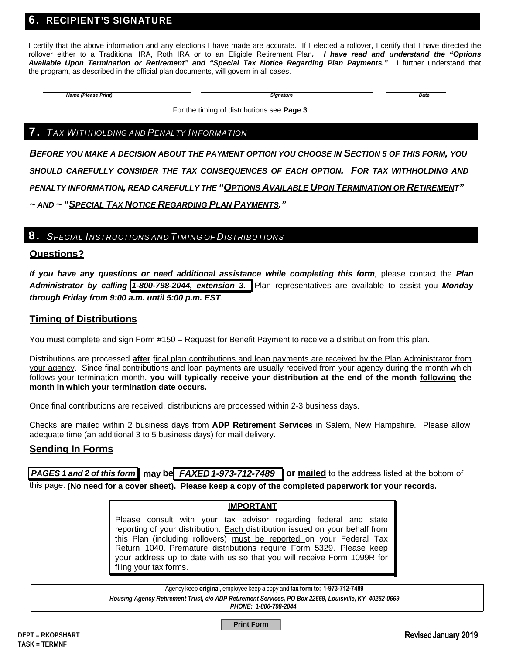### 6. RECIPIENT'S SIGNATURE

I certify that the above information and any elections I have made are accurate. If I elected a rollover, I certify that I have directed the rollover either to a Traditional IRA, Roth IRA or to an Eligible Retirement Plan*. I have read and understand the "Options Available Upon Termination or Retirement" and "Special Tax Notice Regarding Plan Payments."* I further understand that the program, as described in the official plan documents, will govern in all cases.

*Name (Please Print) Signature Date*

For the timing of distributions see **Page 3**.

#### **7.** TAX WITHHOLDING AND PENALTY INFORMATION

*BEFORE YOU MAKE A DECISION ABOUT THE PAYMENT OPTION YOU CHOOSE IN SECTION 5 OF THIS FORM, YOU SHOULD CAREFULLY CONSIDER THE TAX CONSEQUENCES OF EACH OPTION. FOR TAX WITHHOLDING AND PENALTY INFORMATION, READ CAREFULLY THE "OPTIONS AVAILABLE UPON TERMINATION OR RETIREMENT" ~ AND ~ "SPECIAL TAX NOTICE REGARDING PLAN PAYMENTS."*

#### 8. *SPECIAL INSTRUCTIONS AND TIMING OF DISTRIBUTIONS*

#### **Questions?**

*If you have any questions or need additional assistance while completing this form,* please contact the *Plan Administrator by calling 1-800-798-2044, extension 3.* Plan representatives are available to assist you *Monday through Friday from 9:00 a.m. until 5:00 p.m. EST.*

#### **Timing of Distributions**

You must complete and sign Form #150 – Request for Benefit Payment to receive a distribution from this plan.

Distributions are processed **after** final plan contributions and loan payments are received by the Plan Administrator from your agency. Since final contributions and loan payments are usually received from your agency during the month which follows your termination month, **you will typically receive your distribution at the end of the month following the month in which your termination date occurs.**

Once final contributions are received, distributions are processed within 2-3 business days.

Checks are mailed within 2 business days from **ADP Retirement Services** in Salem, New Hampshire. Please allow adequate time (an additional 3 to 5 business days) for mail delivery.

#### **Sending In Forms**

*PAGES 1 and 2 of this form* **may be** *FAXED 1-973-712-7489* **or mailed** to the address listed at the bottom of

this page. **(No need for a cover sheet). Please keep a copy of the completed paperwork for your records.**

#### **IMPORTANT**

Please consult with your tax advisor regarding federal and state reporting of your distribution. Each distribution issued on your behalf from this Plan (including rollovers) must be reported on your Federal Tax Return 1040. Premature distributions require Form 5329. Please keep your address up to date with us so that you will receive Form 1099R for filing your tax forms.

Agency keep **original**, employee keep a copy and **fax form to: 1-973-712-7489** 

*Housing Agency Retirement Trust, c/o ADP Retirement Services, PO Box 22669, Louisville, KY 40252-0669*

*PHONE: 1-800-798-2044*

**Print Form**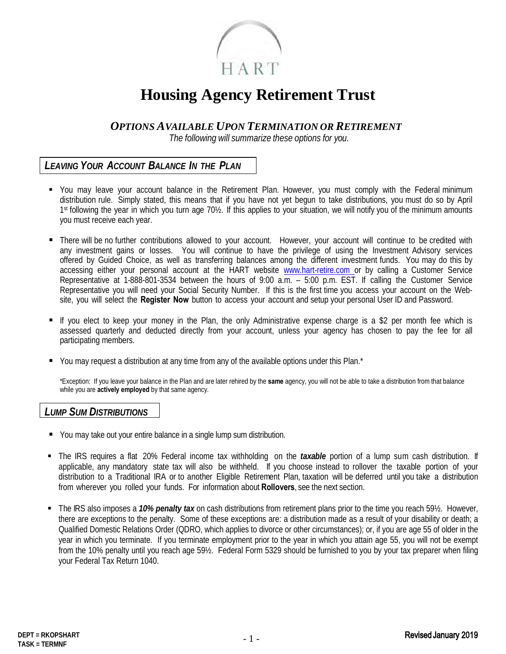

# **Housing Agency Retirement Trust**

*OPTIONS AVAILABLE UPON TERMINATION OR RETIREMENT*

*The following will summarize these options for you.* 

### *LEAVING YOUR ACCOUNT BALANCE IN THE PLAN*

- You may leave your account balance in the Retirement Plan. However, you must comply with the Federal minimum distribution rule. Simply stated, this means that if you have not yet begun to take distributions, you must do so by April 1st following the year in which you turn age 70½. If this applies to your situation, we will notify you of the minimum amounts you must receive each year.
- There will be no further contributions allowed to your account. However, your account will continue to be credited with any investment gains or losses. You will continue to have the privilege of using the Investment Advisory services offered by Guided Choice, as well as transferring balances among the different investment funds. You may do this by accessing either your personal account at the HART website www.hart-retire.com or by calling a Customer Service Representative at 1-888-801-3534 between the hours of 9:00 a.m. – 5:00 p.m. EST. If calling the Customer Service Representative you will need your Social Security Number. If this is the first time you access your account on the Website, you will select the **Register Now** button to access your account and setup your personal User ID and Password.
- If you elect to keep your money in the Plan, the only Administrative expense charge is a \$2 per month fee which is assessed quarterly and deducted directly from your account, unless your agency has chosen to pay the fee for all participating members.
- You may request a distribution at any time from any of the available options under this Plan.\*

\*Exception: If you leave your balance in the Plan and are later rehired by the **same** agency, you will not be able to take a distribution from that balance while you are **actively employed** by that same agency.

#### *LUMP SUM DISTRIBUTIONS*

- You may take out your entire balance in a single lump sum distribution.
- The IRS requires a flat 20% Federal income tax withholding on the *taxable* portion of a lump sum cash distribution. If applicable, any mandatory state tax will also be withheld. If you choose instead to rollover the taxable portion of your distribution to a Traditional IRA or to another Eligible Retirement Plan, taxation will be deferred until you take a distribution from wherever you rolled your funds. For information about **Rollovers**, see the next section.
- The IRS also imposes a *10% penalty tax* on cash distributions from retirement plans prior to the time you reach 59½. However, there are exceptions to the penalty. Some of these exceptions are: a distribution made as a result of your disability or death; a Qualified Domestic Relations Order (QDRO, which applies to divorce or other circumstances); or, if you are age 55 of older in the year in which you terminate. If you terminate employment prior to the year in which you attain age 55, you will not be exempt from the 10% penalty until you reach age 59½. Federal Form 5329 should be furnished to you by your tax preparer when filing your Federal Tax Return 1040.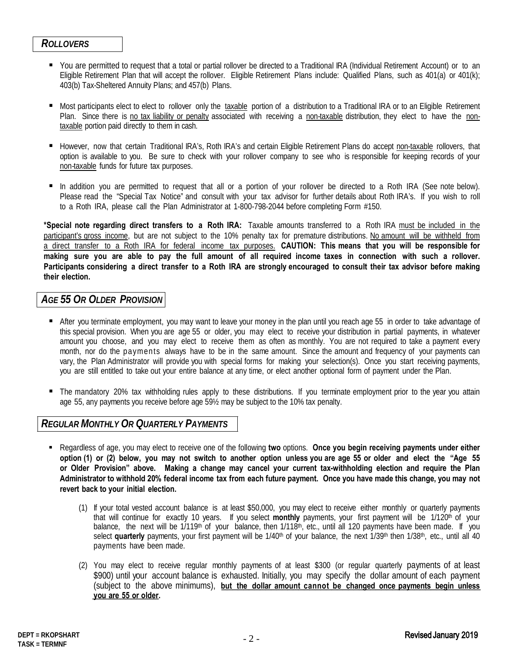#### *ROLLOVERS*

- You are permitted to request that a total or partial rollover be directed to a Traditional IRA (Individual Retirement Account) or to an Eligible Retirement Plan that will accept the rollover. Eligible Retirement Plans include: Qualified Plans, such as 401(a) or 401(k); 403(b) Tax-Sheltered Annuity Plans; and 457(b) Plans.
- Most participants elect to elect to rollover only the taxable portion of a distribution to a Traditional IRA or to an Eligible Retirement Plan. Since there is no tax liability or penalty associated with receiving a non-taxable distribution, they elect to have the nontaxable portion paid directly to them in cash.
- However, now that certain Traditional IRA's, Roth IRA's and certain Eligible Retirement Plans do accept non-taxable rollovers, that option is available to you. Be sure to check with your rollover company to see who is responsible for keeping records of your non-taxable funds for future tax purposes.
- In addition you are permitted to request that all or a portion of your rollover be directed to a Roth IRA (See note below). Please read the "Special Tax Notice" and consult with your tax advisor for further details about Roth IRA's. If you wish to roll to a Roth IRA, please call the Plan Administrator at 1-800-798-2044 before completing Form #150.

**\*Special note regarding direct transfers to a Roth IRA:** Taxable amounts transferred to a Roth IRA must be included in the participant's gross income, but are not subject to the 10% penalty tax for premature distributions. No amount will be withheld from a direct transfer to a Roth IRA for federal income tax purposes. **CAUTION: This means that you will be responsible for making sure you are able to pay the full amount of all required income taxes in connection with such a rollover. Participants considering a direct transfer to a Roth IRA are strongly encouraged to consult their tax advisor before making their election.**

# *AGE 55 OR OLDER PROVISION*

- After you terminate employment, you may want to leave your money in the plan until you reach age 55 in order to take advantage of this special provision. When you are age 55 or older, you may elect to receive your distribution in partial payments, in whatever amount you choose, and you may elect to receive them as often as monthly. You are not required to take a payment every month, nor do the payments always have to be in the same amount. Since the amount and frequency of your payments can vary, the Plan Administrator will provide you with special forms for making your selection(s). Once you start receiving payments, you are still entitled to take out your entire balance at any time, or elect another optional form of payment under the Plan.
- The mandatory 20% tax withholding rules apply to these distributions. If you terminate employment prior to the year you attain age 55, any payments you receive before age 59½ may be subject to the 10% tax penalty.

### *REGULARMONTHLY OR QUARTERLY PAYMENTS*

- Regardless of age, you may elect to receive one of the following **two** options. **Once you begin receiving payments under either option (1) or (2) below, you may not switch to another option unless you are age 55 or older and elect the "Age 55 or Older Provision" above. Making a change may cancel your current tax-withholding election and require the Plan Administrator to withhold 20% federal income tax from each future payment. Once you have made this change, you may not revert back to your initial election.**
	- (1) If your total vested account balance is at least \$50,000, you may elect to receive either monthly or quarterly payments that will continue for exactly 10 years. If you select **monthly** payments, your first payment will be 1/120th of your balance, the next will be  $1/119<sup>th</sup>$  of your balance, then  $1/118<sup>th</sup>$ , etc., until all 120 payments have been made. If you select **quarterly** payments, your first payment will be 1/40<sup>th</sup> of your balance, the next 1/39<sup>th</sup> then 1/38<sup>th</sup>, etc., until all 40 payments have been made.
	- (2) You may elect to receive regular monthly payments of at least \$300 (or regular quarterly payments of at least \$900) until your account balance is exhausted. Initially, you may specify the dollar amount of each payment (subject to the above minimums), but the dollar amount cannot be changed once payments begin unless **you are 55 or older.** \_\_\_\_\_\_\_\_\_\_\_\_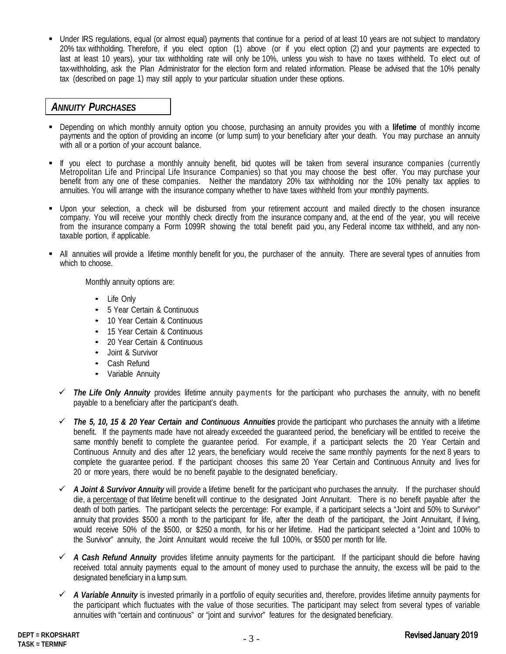Under IRS regulations, equal (or almost equal) payments that continue for a period of at least 10 years are not subject to mandatory 20% tax withholding. Therefore, if you elect option (1) above (or if you elect option (2) and your payments are expected to last at least 10 years), your tax withholding rate will only be 10%, unless you wish to have no taxes withheld. To elect out of tax-withholding, ask the Plan Administrator for the election form and related information. Please be advised that the 10% penalty tax (described on page 1) may still apply to your particular situation under these options.

#### *ANNUITY PURCHASES*

- Depending on which monthly annuity option you choose, purchasing an annuity provides you with a **lifetime** of monthly income payments and the option of providing an income (or lump sum) to your beneficiary after your death. You may purchase an annuity with all or a portion of your account balance.
- If you elect to purchase a monthly annuity benefit, bid quotes will be taken from several insurance companies (currently Metropolitan Life and Principal Life Insurance Companies) so that you may choose the best offer. You may purchase your benefit from any one of these companies. Neither the mandatory 20% tax withholding nor the 10% penalty tax applies to annuities. You will arrange with the insurance company whether to have taxes withheld from your monthly payments.
- Upon your selection, a check will be disbursed from your retirement account and mailed directly to the chosen insurance company. You will receive your monthly check directly from the insurance company and, at the end of the year, you will receive from the insurance company a Form 1099R showing the total benefit paid you, any Federal income tax withheld, and any nontaxable portion, if applicable.
- All annuities will provide a lifetime monthly benefit for you, the purchaser of the annuity. There are several types of annuities from which to choose.

Monthly annuity options are:

- Life Only
- 5 Year Certain & Continuous
- 10 Year Certain & Continuous
- 15 Year Certain & Continuous
- 20 Year Certain & Continuous
- Joint & Survivor
- Cash Refund
- Variable Annuity
- *The Life Only Annuity* provides lifetime annuity payments for the participant who purchases the annuity, with no benefit payable to a beneficiary after the participant's death.
- *The 5, 10, 15 & 20 Year Certain and Continuous Annuities* provide the participant who purchases the annuity with a lifetime benefit. If the payments made have not already exceeded the guaranteed period, the beneficiary will be entitled to receive the same monthly benefit to complete the guarantee period. For example, if a participant selects the 20 Year Certain and Continuous Annuity and dies after 12 years, the beneficiary would receive the same monthly payments for the next 8 years to complete the guarantee period. If the participant chooses this same 20 Year Certain and Continuous Annuity and lives for 20 or more years, there would be no benefit payable to the designated beneficiary.
- *A Joint & Survivor Annuity* will provide a lifetime benefit for the participant who purchases the annuity. If the purchaser should die, a percentage of that lifetime benefit will continue to the designated Joint Annuitant. There is no benefit payable after the death of both parties. The participant selects the percentage: For example, if a participant selects a "Joint and 50% to Survivor" annuity that provides \$500 a month to the participant for life, after the death of the participant, the Joint Annuitant, if living, would receive 50% of the \$500, or \$250 a month, for his or her lifetime. Had the participant selected a "Joint and 100% to the Survivor" annuity, the Joint Annuitant would receive the full 100%, or \$500 per month for life.
- *A Cash Refund Annuity* provides lifetime annuity payments for the participant. If the participant should die before having received total annuity payments equal to the amount of money used to purchase the annuity, the excess will be paid to the designated beneficiary in a lump sum.
- *A Variable Annuity* is invested primarily in a portfolio of equity securities and, therefore, provides lifetime annuity payments for the participant which fluctuates with the value of those securities. The participant may select from several types of variable annuities with "certain and continuous" or "joint and survivor" features for the designated beneficiary.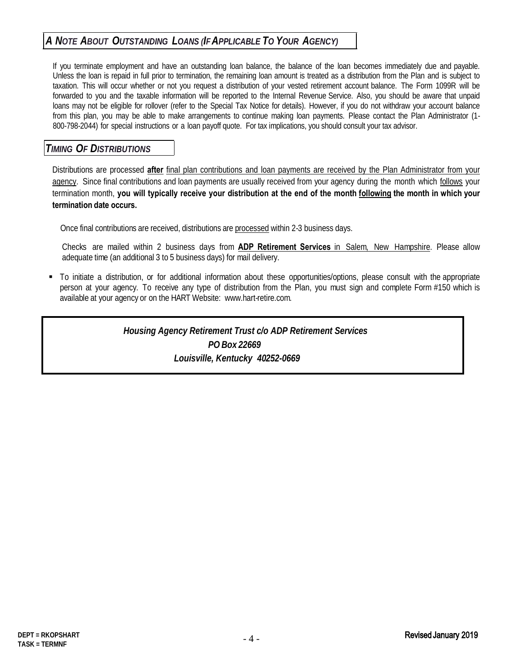# *A NOTE ABOUT OUTSTANDING LOANS (IFAPPLICABLE TO YOUR AGENCY)*

If you terminate employment and have an outstanding loan balance, the balance of the loan becomes immediately due and payable. Unless the loan is repaid in full prior to termination, the remaining loan amount is treated as a distribution from the Plan and is subject to taxation. This will occur whether or not you request a distribution of your vested retirement account balance. The Form 1099R will be forwarded to you and the taxable information will be reported to the Internal Revenue Service. Also, you should be aware that unpaid loans may not be eligible for rollover (refer to the Special Tax Notice for details). However, if you do not withdraw your account balance from this plan, you may be able to make arrangements to continue making loan payments. Please contact the Plan Administrator (1- 800-798-2044) for special instructions or a loan payoff quote. For tax implications, you should consult your tax advisor.

### *TIMING OF DISTRIBUTIONS*

Distributions are processed **after** final plan contributions and loan payments are received by the Plan Administrator from your agency. Since final contributions and loan payments are usually received from your agency during the month which follows your termination month, **you will typically receive your distribution at the end of the month following the month in which your termination date occurs.**

Once final contributions are received, distributions are processed within 2-3 business days.

Checks are mailed within 2 business days from **ADP Retirement Services** in Salem, New Hampshire. Please allow adequate time (an additional 3 to 5 business days) for mail delivery.

 To initiate a distribution, or for additional information about these opportunities/options, please consult with the appropriate person at your agency. To receive any type of distribution from the Plan, you must sign and complete Form #150 which is available at your agency or on the HART Website: www.hart-retire.com.

> *Housing Agency Retirement Trust c/o ADP Retirement Services PO Box 22669 Louisville, Kentucky 40252-0669*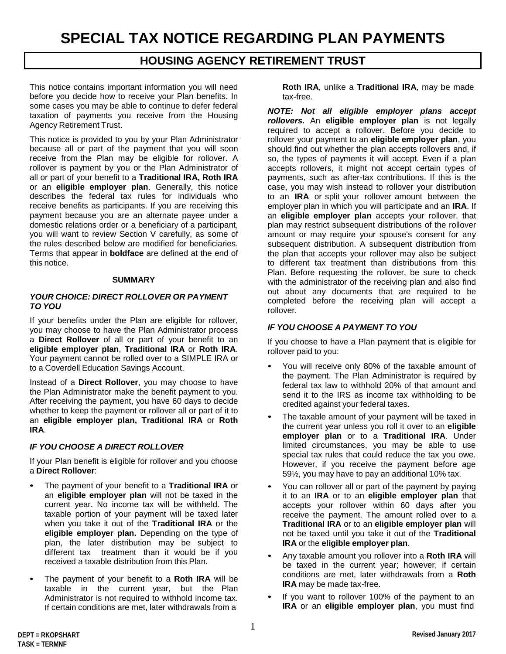# **HOUSING AGENCY RETIREMENT TRUST**

This notice contains important information you will need before you decide how to receive your Plan benefits. In some cases you may be able to continue to defer federal taxation of payments you receive from the Housing Agency Retirement Trust.

This notice is provided to you by your Plan Administrator because all or part of the payment that you will soon receive from the Plan may be eligible for rollover. A rollover is payment by you or the Plan Administrator of all or part of your benefit to a **Traditional IRA, Roth IRA** or an **eligible employer plan**. Generally, this notice describes the federal tax rules for individuals who receive benefits as participants. If you are receiving this payment because you are an alternate payee under a domestic relations order or a beneficiary of a participant, you will want to review Section V carefully, as some of the rules described below are modified for beneficiaries. Terms that appear in **boldface** are defined at the end of this notice.

#### **SUMMARY**

#### *YOUR CHOICE: DIRECT ROLLOVER OR PAYMENT TO YOU*

If your benefits under the Plan are eligible for rollover, you may choose to have the Plan Administrator process a **Direct Rollover** of all or part of your benefit to an **eligible employer plan**, **Traditional IRA** or **Roth IRA**. Your payment cannot be rolled over to a SIMPLE IRA or to a Coverdell Education Savings Account.

Instead of a **Direct Rollover**, you may choose to have the Plan Administrator make the benefit payment to you. After receiving the payment, you have 60 days to decide whether to keep the payment or rollover all or part of it to an **eligible employer plan, Traditional IRA** or **Roth IRA**.

#### *IF YOU CHOOSE A DIRECT ROLLOVER*

If your Plan benefit is eligible for rollover and you choose a **Direct Rollover**:

- The payment of your benefit to a **Traditional IRA** or an **eligible employer plan** will not be taxed in the current year. No income tax will be withheld. The taxable portion of your payment will be taxed later when you take it out of the **Traditional IRA** or the **eligible employer plan.** Depending on the type of plan, the later distribution may be subject to different tax treatment than it would be if you received a taxable distribution from this Plan.
- The payment of your benefit to a **Roth IRA** will be taxable in the current year, but the Plan Administrator is not required to withhold income tax. If certain conditions are met, later withdrawals from a

**Roth IRA**, unlike a **Traditional IRA**, may be made tax-free.

*NOTE: Not all eligible employer plans accept rollovers.* An **eligible employer plan** is not legally required to accept a rollover. Before you decide to rollover your payment to an **eligible employer plan**, you should find out whether the plan accepts rollovers and, if so, the types of payments it will accept. Even if a plan accepts rollovers, it might not accept certain types of payments, such as after-tax contributions. If this is the case, you may wish instead to rollover your distribution to an **IRA** or split your rollover amount between the employer plan in which you will participate and an **IRA**. If an **eligible employer plan** accepts your rollover, that plan may restrict subsequent distributions of the rollover amount or may require your spouse's consent for any subsequent distribution. A subsequent distribution from the plan that accepts your rollover may also be subject to different tax treatment than distributions from this Plan. Before requesting the rollover, be sure to check with the administrator of the receiving plan and also find out about any documents that are required to be completed before the receiving plan will accept a rollover.

#### *IF YOU CHOOSE A PAYMENT TO YOU*

If you choose to have a Plan payment that is eligible for rollover paid to you:

- You will receive only 80% of the taxable amount of the payment. The Plan Administrator is required by federal tax law to withhold 20% of that amount and send it to the IRS as income tax withholding to be credited against your federal taxes.
- The taxable amount of your payment will be taxed in the current year unless you roll it over to an **eligible employer plan** or to a **Traditional IRA**. Under limited circumstances, you may be able to use special tax rules that could reduce the tax you owe. However, if you receive the payment before age 59½, you may have to pay an additional 10% tax.
- You can rollover all or part of the payment by paying it to an **IRA** or to an **eligible employer plan** that accepts your rollover within 60 days after you receive the payment. The amount rolled over to a **Traditional IRA** or to an **eligible employer plan** will not be taxed until you take it out of the **Traditional IRA** or the **eligible employer plan**.
- Any taxable amount you rollover into a **Roth IRA** will be taxed in the current year; however, if certain conditions are met, later withdrawals from a **Roth IRA** may be made tax-free.
- If you want to rollover 100% of the payment to an **IRA** or an **eligible employer plan**, you must find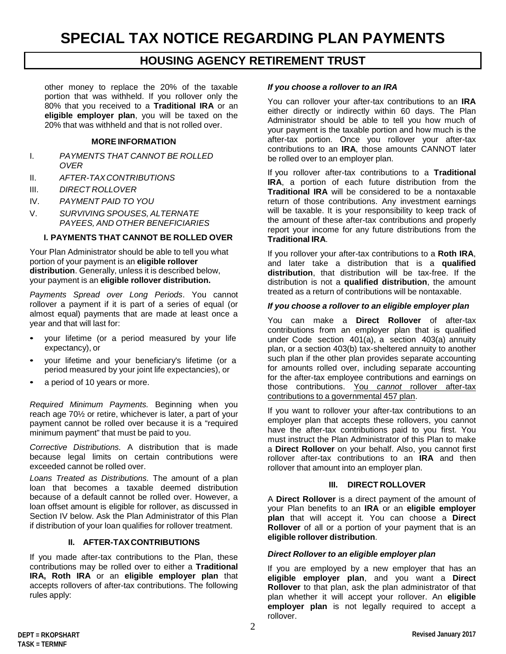# **HOUSING AGENCY RETIREMENT TRUST**

other money to replace the 20% of the taxable portion that was withheld. If you rollover only the 80% that you received to a **Traditional IRA** or an **eligible employer plan**, you will be taxed on the 20% that was withheld and that is not rolled over.

#### **MORE INFORMATION**

- I. *PAYMENTS THAT CANNOT BE ROLLED OVER*
- II. *AFTER-TAX CONTRIBUTIONS*
- III. *DIRECT ROLLOVER*
- IV. *PAYMENT PAID TO YOU*
- V. *SURVIVING SPOUSES, ALTERNATE PAYEES, AND OTHER BENEFICIARIES*

#### **I. PAYMENTS THAT CANNOT BE ROLLED OVER**

Your Plan Administrator should be able to tell you what portion of your payment is an **eligible rollover distribution**. Generally, unless it is described below, your payment is an **eligible rollover distribution.**

*Payments Spread over Long Periods*. You cannot rollover a payment if it is part of a series of equal (or almost equal) payments that are made at least once a year and that will last for:

- your lifetime (or a period measured by your life expectancy), or
- your lifetime and your beneficiary's lifetime (or a period measured by your joint life expectancies), or
- a period of 10 years or more.

*Required Minimum Payments.* Beginning when you reach age 70½ or retire, whichever is later, a part of your payment cannot be rolled over because it is a "required minimum payment" that must be paid to you.

*Corrective Distributions.* A distribution that is made because legal limits on certain contributions were exceeded cannot be rolled over.

*Loans Treated as Distributions.* The amount of a plan loan that becomes a taxable deemed distribution because of a default cannot be rolled over. However, a loan offset amount is eligible for rollover, as discussed in Section IV below. Ask the Plan Administrator of this Plan if distribution of your loan qualifies for rollover treatment.

#### **II. AFTER-TAX CONTRIBUTIONS**

If you made after-tax contributions to the Plan, these contributions may be rolled over to either a **Traditional IRA, Roth IRA** or an **eligible employer plan** that accepts rollovers of after-tax contributions. The following rules apply:

#### *If you choose a rollover to an IRA*

You can rollover your after-tax contributions to an **IRA** either directly or indirectly within 60 days. The Plan Administrator should be able to tell you how much of your payment is the taxable portion and how much is the after-tax portion. Once you rollover your after-tax contributions to an **IRA**, those amounts CANNOT later be rolled over to an employer plan.

If you rollover after-tax contributions to a **Traditional IRA**, a portion of each future distribution from the **Traditional IRA** will be considered to be a nontaxable return of those contributions. Any investment earnings will be taxable. It is your responsibility to keep track of the amount of these after-tax contributions and properly report your income for any future distributions from the **Traditional IRA**.

If you rollover your after-tax contributions to a **Roth IRA**, and later take a distribution that is a **qualified distribution**, that distribution will be tax-free. If the distribution is not a **qualified distribution**, the amount treated as a return of contributions will be nontaxable.

#### *If you choose a rollover to an eligible employer plan*

You can make a **Direct Rollover** of after-tax contributions from an employer plan that is qualified under Code section 401(a), a section 403(a) annuity plan, or a section 403(b) tax-sheltered annuity to another such plan if the other plan provides separate accounting for amounts rolled over, including separate accounting for the after-tax employee contributions and earnings on those contributions. You *cannot* rollover after-tax contributions to a governmental 457 plan.

If you want to rollover your after-tax contributions to an employer plan that accepts these rollovers, you cannot have the after-tax contributions paid to you first. You must instruct the Plan Administrator of this Plan to make a **Direct Rollover** on your behalf. Also, you cannot first rollover after-tax contributions to an **IRA** and then rollover that amount into an employer plan.

#### **III. DIRECT ROLLOVER**

A **Direct Rollover** is a direct payment of the amount of your Plan benefits to an **IRA** or an **eligible employer plan** that will accept it. You can choose a **Direct Rollover** of all or a portion of your payment that is an **eligible rollover distribution**.

#### *Direct Rollover to an eligible employer plan*

If you are employed by a new employer that has an **eligible employer plan**, and you want a **Direct Rollover** to that plan, ask the plan administrator of that plan whether it will accept your rollover. An **eligible employer plan** is not legally required to accept a rollover.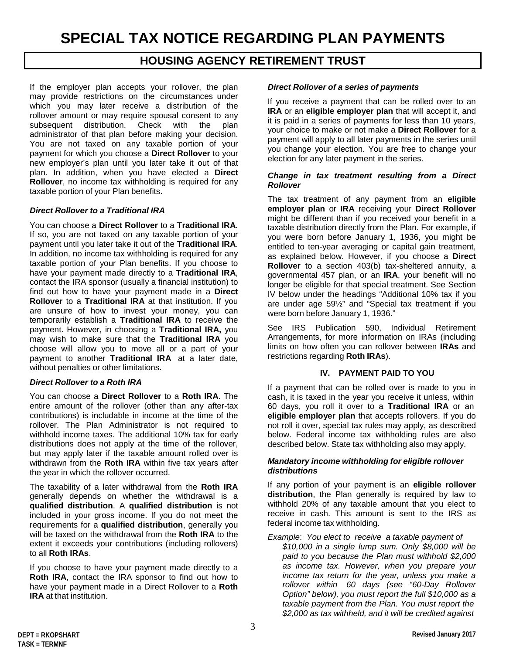# **HOUSING AGENCY RETIREMENT TRUST**

If the employer plan accepts your rollover, the plan may provide restrictions on the circumstances under which you may later receive a distribution of the rollover amount or may require spousal consent to any subsequent distribution. Check with the plan administrator of that plan before making your decision. You are not taxed on any taxable portion of your payment for which you choose a **Direct Rollover** to your new employer's plan until you later take it out of that plan. In addition, when you have elected a **Direct Rollover**, no income tax withholding is required for any taxable portion of your Plan benefits.

#### *Direct Rollover to a Traditional IRA*

You can choose a **Direct Rollover** to a **Traditional IRA.** If so, you are not taxed on any taxable portion of your payment until you later take it out of the **Traditional IRA**. In addition, no income tax withholding is required for any taxable portion of your Plan benefits. If you choose to have your payment made directly to a **Traditional IRA**, contact the IRA sponsor (usually a financial institution) to find out how to have your payment made in a **Direct Rollover** to a **Traditional IRA** at that institution. If you are unsure of how to invest your money, you can temporarily establish a **Traditional IRA** to receive the payment. However, in choosing a **Traditional IRA,** you may wish to make sure that the **Traditional IRA** you choose will allow you to move all or a part of your payment to another **Traditional IRA** at a later date, without penalties or other limitations.

#### *Direct Rollover to a Roth IRA*

You can choose a **Direct Rollover** to a **Roth IRA**. The entire amount of the rollover (other than any after-tax contributions) is includable in income at the time of the rollover. The Plan Administrator is not required to withhold income taxes. The additional 10% tax for early distributions does not apply at the time of the rollover, but may apply later if the taxable amount rolled over is withdrawn from the **Roth IRA** within five tax years after the year in which the rollover occurred.

The taxability of a later withdrawal from the **Roth IRA** generally depends on whether the withdrawal is a **qualified distribution**. A **qualified distribution** is not included in your gross income. If you do not meet the requirements for a **qualified distribution**, generally you will be taxed on the withdrawal from the **Roth IRA** to the extent it exceeds your contributions (including rollovers) to all **Roth IRAs**.

If you choose to have your payment made directly to a **Roth IRA**, contact the IRA sponsor to find out how to have your payment made in a Direct Rollover to a **Roth IRA** at that institution.

#### *Direct Rollover of a series of payments*

If you receive a payment that can be rolled over to an **IRA** or an **eligible employer plan** that will accept it, and it is paid in a series of payments for less than 10 years, your choice to make or not make a **Direct Rollover** for a payment will apply to all later payments in the series until you change your election. You are free to change your election for any later payment in the series.

#### *Change in tax treatment resulting from a Direct Rollover*

The tax treatment of any payment from an **eligible employer plan** or **IRA** receiving your **Direct Rollover** might be different than if you received your benefit in a taxable distribution directly from the Plan. For example, if you were born before January 1, 1936, you might be entitled to ten-year averaging or capital gain treatment, as explained below. However, if you choose a **Direct Rollover** to a section 403(b) tax-sheltered annuity, a governmental 457 plan, or an **IRA**, your benefit will no longer be eligible for that special treatment. See Section IV below under the headings "Additional 10% tax if you are under age 59½" and "Special tax treatment if you were born before January 1, 1936."

See IRS Publication 590, Individual Retirement Arrangements, for more information on IRAs (including limits on how often you can rollover between **IRAs** and restrictions regarding **Roth IRAs**).

#### **IV. PAYMENT PAID TO YOU**

If a payment that can be rolled over is made to you in cash, it is taxed in the year you receive it unless, within 60 days, you roll it over to a **Traditional IRA** or an **eligible employer plan** that accepts rollovers. If you do not roll it over, special tax rules may apply, as described below. Federal income tax withholding rules are also described below. State tax withholding also may apply.

#### *Mandatory income withholding for eligible rollover distributions*

If any portion of your payment is an **eligible rollover distribution**, the Plan generally is required by law to withhold 20% of any taxable amount that you elect to receive in cash. This amount is sent to the IRS as federal income tax withholding.

*Example*: *You elect to receive a taxable payment of \$10,000 in a single lump sum. Only \$8,000 will be paid to you because the Plan must withhold \$2,000 as income tax. However, when you prepare your income tax return for the year, unless you make a rollover within 60 days (see "60-Day Rollover Option" below), you must report the full \$10,000 as a taxable payment from the Plan. You must report the \$2,000 as tax withheld, and it will be credited against*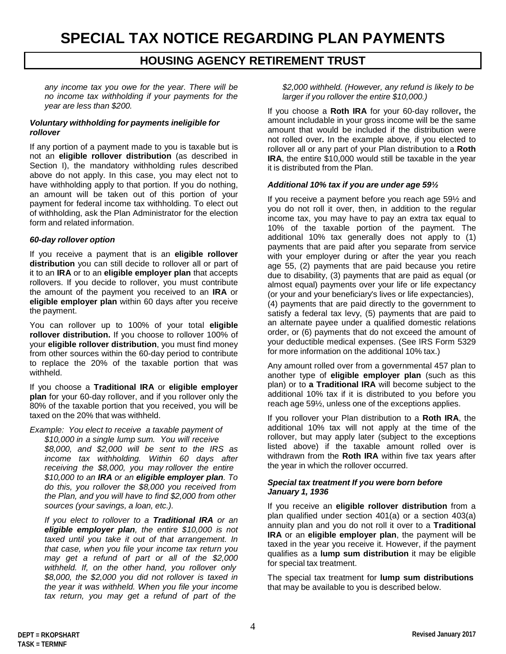# **HOUSING AGENCY RETIREMENT TRUST**

*any income tax you owe for the year. There will be no income tax withholding if your payments for the year are less than \$200.*

#### *Voluntary withholding for payments ineligible for rollover*

If any portion of a payment made to you is taxable but is not an **eligible rollover distribution** (as described in Section I), the mandatory withholding rules described above do not apply. In this case, you may elect not to have withholding apply to that portion. If you do nothing, an amount will be taken out of this portion of your payment for federal income tax withholding. To elect out of withholding, ask the Plan Administrator for the election form and related information.

#### *60-day rollover option*

If you receive a payment that is an **eligible rollover distribution** you can still decide to rollover all or part of it to an **IRA** or to an **eligible employer plan** that accepts rollovers. If you decide to rollover, you must contribute the amount of the payment you received to an **IRA** or **eligible employer plan** within 60 days after you receive the payment.

You can rollover up to 100% of your total **eligible rollover distribution.** If you choose to rollover 100% of your **eligible rollover distribution**, you must find money from other sources within the 60-day period to contribute to replace the 20% of the taxable portion that was withheld.

If you choose a **Traditional IRA** or **eligible employer plan** for your 60-day rollover, and if you rollover only the 80% of the taxable portion that you received, you will be taxed on the 20% that was withheld.

*Example: You elect to receive a taxable payment of \$10,000 in a single lump sum. You will receive \$8,000, and \$2,000 will be sent to the IRS as income tax withholding. Within 60 days after receiving the \$8,000, you may rollover the entire \$10,000 to an IRA or an eligible employer plan. To do this, you rollover the \$8,000 you received from the Plan, and you will have to find \$2,000 from other sources (your savings, a loan, etc.).*

*If you elect to rollover to a Traditional IRA or an eligible employer plan, the entire \$10,000 is not taxed until you take it out of that arrangement. In that case, when you file your income tax return you may get a refund of part or all of the \$2,000 withheld. If, on the other hand, you rollover only \$8,000, the \$2,000 you did not rollover is taxed in the year it was withheld. When you file your income tax return, you may get a refund of part of the*

*\$2,000 withheld. (However, any refund is likely to be larger if you rollover the entire \$10,000.)*

If you choose a **Roth IRA** for your 60-day rollover**,** the amount includable in your gross income will be the same amount that would be included if the distribution were not rolled over**.** In the example above, if you elected to rollover all or any part of your Plan distribution to a **Roth IRA**, the entire \$10,000 would still be taxable in the year it is distributed from the Plan.

#### *Additional 10% tax if you are under age 59½*

If you receive a payment before you reach age 59½ and you do not roll it over, then, in addition to the regular income tax, you may have to pay an extra tax equal to 10% of the taxable portion of the payment. The additional 10% tax generally does not apply to (1) payments that are paid after you separate from service with your employer during or after the year you reach age 55, (2) payments that are paid because you retire due to disability, (3) payments that are paid as equal (or almost equal) payments over your life or life expectancy (or your and your beneficiary's lives or life expectancies), (4) payments that are paid directly to the government to satisfy a federal tax levy, (5) payments that are paid to an alternate payee under a qualified domestic relations order, or (6) payments that do not exceed the amount of your deductible medical expenses. (See IRS Form 5329 for more information on the additional 10% tax.)

Any amount rolled over from a governmental 457 plan to another type of **eligible employer plan** (such as this plan) or to **a Traditional IRA** will become subject to the additional 10% tax if it is distributed to you before you reach age 59½, unless one of the exceptions applies.

If you rollover your Plan distribution to a **Roth IRA**, the additional 10% tax will not apply at the time of the rollover, but may apply later (subject to the exceptions listed above) if the taxable amount rolled over is withdrawn from the **Roth IRA** within five tax years after the year in which the rollover occurred.

#### *Special tax treatment If you were born before January 1, 1936*

If you receive an **eligible rollover distribution** from a plan qualified under section 401(a) or a section 403(a) annuity plan and you do not roll it over to a **Traditional IRA** or an **eligible employer plan**, the payment will be taxed in the year you receive it. However, if the payment qualifies as a **lump sum distribution** it may be eligible for special tax treatment.

The special tax treatment for **lump sum distributions** that may be available to you is described below.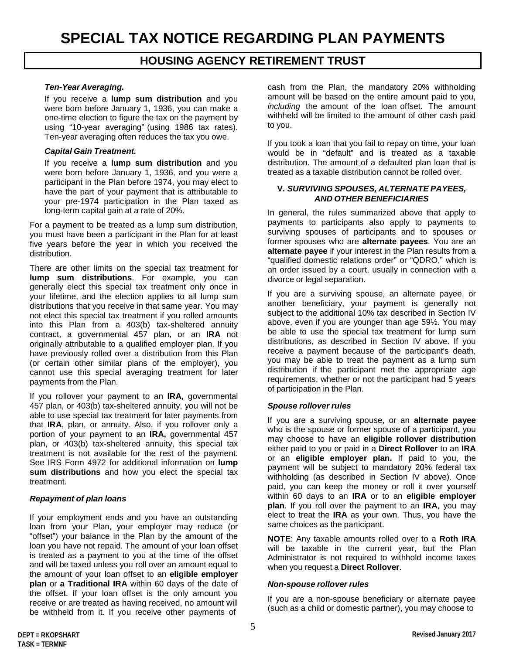# **HOUSING AGENCY RETIREMENT TRUST**

#### *Ten-Year Averaging.*

If you receive a **lump sum distribution** and you were born before January 1, 1936, you can make a one-time election to figure the tax on the payment by using "10-year averaging" (using 1986 tax rates). Ten-year averaging often reduces the tax you owe.

#### *Capital Gain Treatment.*

If you receive a **lump sum distribution** and you were born before January 1, 1936, and you were a participant in the Plan before 1974, you may elect to have the part of your payment that is attributable to your pre-1974 participation in the Plan taxed as long-term capital gain at a rate of 20%.

For a payment to be treated as a lump sum distribution, you must have been a participant in the Plan for at least five years before the year in which you received the distribution.

There are other limits on the special tax treatment for **lump sum distributions**. For example, you can generally elect this special tax treatment only once in your lifetime, and the election applies to all lump sum distributions that you receive in that same year. You may not elect this special tax treatment if you rolled amounts into this Plan from a 403(b) tax-sheltered annuity contract, a governmental 457 plan, or an **IRA** not originally attributable to a qualified employer plan. If you have previously rolled over a distribution from this Plan (or certain other similar plans of the employer), you cannot use this special averaging treatment for later payments from the Plan.

If you rollover your payment to an **IRA,** governmental 457 plan, or 403(b) tax-sheltered annuity, you will not be able to use special tax treatment for later payments from that **IRA**, plan, or annuity. Also, if you rollover only a portion of your payment to an **IRA,** governmental 457 plan, or 403(b) tax-sheltered annuity, this special tax treatment is not available for the rest of the payment. See IRS Form 4972 for additional information on **lump sum distributions** and how you elect the special tax treatment.

#### *Repayment of plan loans*

If your employment ends and you have an outstanding loan from your Plan, your employer may reduce (or "offset") your balance in the Plan by the amount of the loan you have not repaid. The amount of your loan offset is treated as a payment to you at the time of the offset and will be taxed unless you roll over an amount equal to the amount of your loan offset to an **eligible employer plan** or **a Traditional IRA** within 60 days of the date of the offset. If your loan offset is the only amount you receive or are treated as having received, no amount will be withheld from it. If you receive other payments of

cash from the Plan, the mandatory 20% withholding amount will be based on the entire amount paid to you, *including* the amount of the loan offset. The amount withheld will be limited to the amount of other cash paid to you.

If you took a loan that you fail to repay on time, your loan would be in "default" and is treated as a taxable distribution. The amount of a defaulted plan loan that is treated as a taxable distribution cannot be rolled over.

#### **V.** *SURVIVING SPOUSES, ALTERNATE PAYEES, AND OTHER BENEFICIARIES*

In general, the rules summarized above that apply to payments to participants also apply to payments to surviving spouses of participants and to spouses or former spouses who are **alternate payees**. You are an **alternate payee** if your interest in the Plan results from a "qualified domestic relations order" or "QDRO," which is an order issued by a court, usually in connection with a divorce or legal separation.

If you are a surviving spouse, an alternate payee, or another beneficiary, your payment is generally not subject to the additional 10% tax described in Section IV above, even if you are younger than age 59½. You may be able to use the special tax treatment for lump sum distributions, as described in Section IV above. If you receive a payment because of the participant's death, you may be able to treat the payment as a lump sum distribution if the participant met the appropriate age requirements, whether or not the participant had 5 years of participation in the Plan.

#### *Spouse rollover rules*

If you are a surviving spouse, or an **alternate payee** who is the spouse or former spouse of a participant, you may choose to have an **eligible rollover distribution** either paid to you or paid in a **Direct Rollover** to an **IRA** or an **eligible employer plan.** If paid to you, the payment will be subject to mandatory 20% federal tax withholding (as described in Section IV above). Once paid, you can keep the money or roll it over yourself within 60 days to an **IRA** or to an **eligible employer plan**. If you roll over the payment to an **IRA**, you may elect to treat the **IRA** as your own. Thus, you have the same choices as the participant.

**NOTE**: Any taxable amounts rolled over to a **Roth IRA** will be taxable in the current year, but the Plan Administrator is not required to withhold income taxes when you request a **Direct Rollover**.

#### *Non-spouse rollover rules*

If you are a non-spouse beneficiary or alternate payee (such as a child or domestic partner), you may choose to